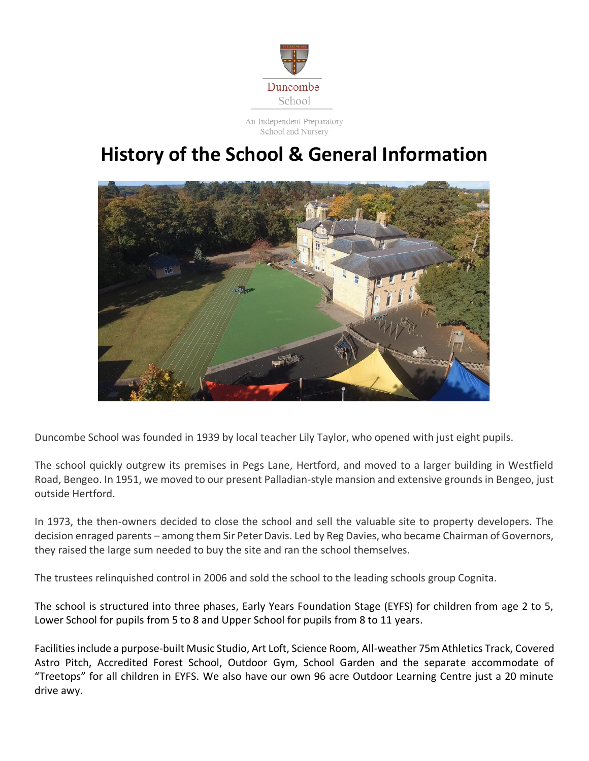

An Independent Preparatory School and Nursery

## **History of the School & General Information**



Duncombe School was founded in 1939 by local teacher Lily Taylor, who opened with just eight pupils.

The school quickly outgrew its premises in Pegs Lane, Hertford, and moved to a larger building in Westfield Road, Bengeo. In 1951, we moved to our present Palladian-style mansion and extensive grounds in Bengeo, just outside Hertford.

In 1973, the then-owners decided to close the school and sell the valuable site to property developers. The decision enraged parents – among them Sir Peter Davis. Led by Reg Davies, who became Chairman of Governors, they raised the large sum needed to buy the site and ran the school themselves.

The trustees relinquished control in 2006 and sold the school to the leading schools group Cognita.

The school is structured into three phases, Early Years Foundation Stage (EYFS) for children from age 2 to 5, Lower School for pupils from 5 to 8 and Upper School for pupils from 8 to 11 years.

Facilities include a purpose-built Music Studio, Art Loft, Science Room, All-weather 75m Athletics Track, Covered Astro Pitch, Accredited Forest School, Outdoor Gym, School Garden and the separate accommodate of "Treetops" for all children in EYFS. We also have our own 96 acre Outdoor Learning Centre just a 20 minute drive awy.